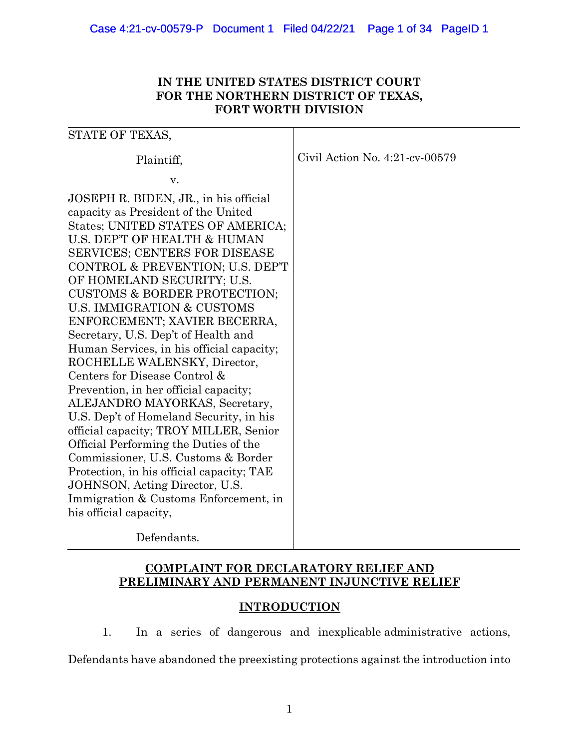# **IN THE UNITED STATES DISTRICT COURT FOR THE NORTHERN DISTRICT OF TEXAS, FORT WORTH DIVISION**

| STATE OF TEXAS,                                                                                                                                                                                                                                                                                                                                                                                                                                                                                                                                                                                                                                                                                                                                                                                                                                                                                                             |                                   |
|-----------------------------------------------------------------------------------------------------------------------------------------------------------------------------------------------------------------------------------------------------------------------------------------------------------------------------------------------------------------------------------------------------------------------------------------------------------------------------------------------------------------------------------------------------------------------------------------------------------------------------------------------------------------------------------------------------------------------------------------------------------------------------------------------------------------------------------------------------------------------------------------------------------------------------|-----------------------------------|
| Plaintiff,                                                                                                                                                                                                                                                                                                                                                                                                                                                                                                                                                                                                                                                                                                                                                                                                                                                                                                                  | Civil Action No. $4:21$ -cv-00579 |
| v.                                                                                                                                                                                                                                                                                                                                                                                                                                                                                                                                                                                                                                                                                                                                                                                                                                                                                                                          |                                   |
| JOSEPH R. BIDEN, JR., in his official<br>capacity as President of the United<br>States; UNITED STATES OF AMERICA;<br>U.S. DEP'T OF HEALTH & HUMAN<br><b>SERVICES; CENTERS FOR DISEASE</b><br>CONTROL & PREVENTION; U.S. DEP'T<br>OF HOMELAND SECURITY; U.S.<br><b>CUSTOMS &amp; BORDER PROTECTION;</b><br>U.S. IMMIGRATION & CUSTOMS<br>ENFORCEMENT; XAVIER BECERRA,<br>Secretary, U.S. Dep't of Health and<br>Human Services, in his official capacity;<br>ROCHELLE WALENSKY, Director,<br>Centers for Disease Control &<br>Prevention, in her official capacity;<br>ALEJANDRO MAYORKAS, Secretary,<br>U.S. Dep't of Homeland Security, in his<br>official capacity; TROY MILLER, Senior<br>Official Performing the Duties of the<br>Commissioner, U.S. Customs & Border<br>Protection, in his official capacity; TAE<br>JOHNSON, Acting Director, U.S.<br>Immigration & Customs Enforcement, in<br>his official capacity, |                                   |
| Defendants.                                                                                                                                                                                                                                                                                                                                                                                                                                                                                                                                                                                                                                                                                                                                                                                                                                                                                                                 |                                   |

# **COMPLAINT FOR DECLARATORY RELIEF AND PRELIMINARY AND PERMANENT INJUNCTIVE RELIEF**

# **INTRODUCTION**

1. In a series of dangerous and inexplicable administrative actions,

Defendants have abandoned the preexisting protections against the introduction into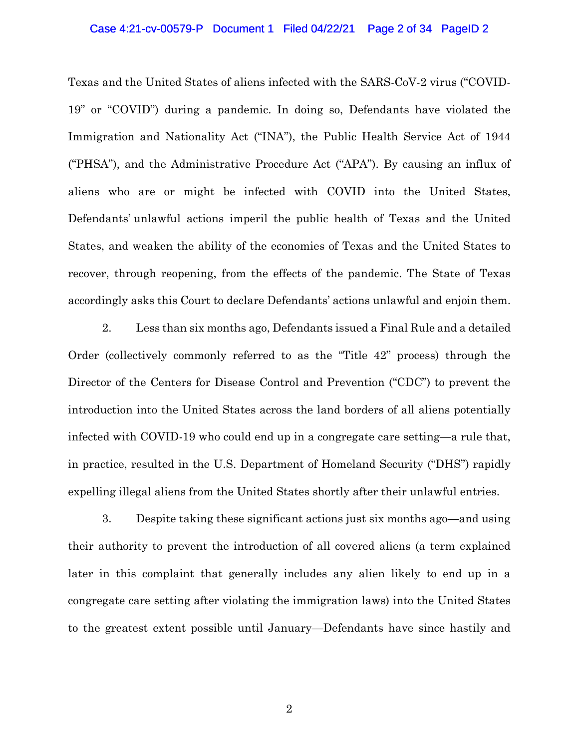### Case 4:21-cv-00579-P Document 1 Filed 04/22/21 Page 2 of 34 PageID 2

Texas and the United States of aliens infected with the SARS-CoV-2 virus ("COVID-19" or "COVID") during a pandemic. In doing so, Defendants have violated the Immigration and Nationality Act ("INA"), the Public Health Service Act of 1944 ("PHSA"), and the Administrative Procedure Act ("APA"). By causing an influx of aliens who are or might be infected with COVID into the United States, Defendants' unlawful actions imperil the public health of Texas and the United States, and weaken the ability of the economies of Texas and the United States to recover, through reopening, from the effects of the pandemic. The State of Texas accordingly asks this Court to declare Defendants' actions unlawful and enjoin them.

2. Less than six months ago, Defendants issued a Final Rule and a detailed Order (collectively commonly referred to as the "Title 42" process) through the Director of the Centers for Disease Control and Prevention ("CDC") to prevent the introduction into the United States across the land borders of all aliens potentially infected with COVID-19 who could end up in a congregate care setting—a rule that, in practice, resulted in the U.S. Department of Homeland Security ("DHS") rapidly expelling illegal aliens from the United States shortly after their unlawful entries.

3. Despite taking these significant actions just six months ago—and using their authority to prevent the introduction of all covered aliens (a term explained later in this complaint that generally includes any alien likely to end up in a congregate care setting after violating the immigration laws) into the United States to the greatest extent possible until January—Defendants have since hastily and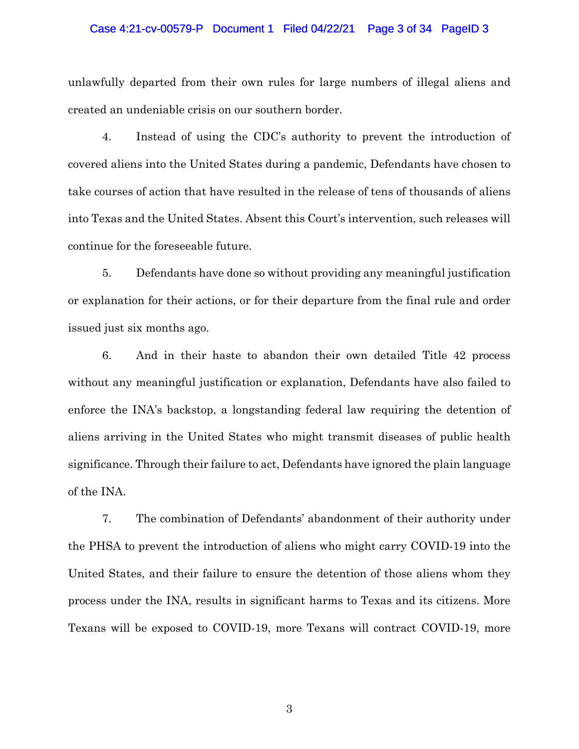## Case 4:21-cv-00579-P Document 1 Filed 04/22/21 Page 3 of 34 PageID 3

unlawfully departed from their own rules for large numbers of illegal aliens and created an undeniable crisis on our southern border.

4. Instead of using the CDC's authority to prevent the introduction of covered aliens into the United States during a pandemic, Defendants have chosen to take courses of action that have resulted in the release of tens of thousands of aliens into Texas and the United States. Absent this Court's intervention, such releases will continue for the foreseeable future.

5. Defendants have done so without providing any meaningful justification or explanation for their actions, or for their departure from the final rule and order issued just six months ago.

6. And in their haste to abandon their own detailed Title 42 process without any meaningful justification or explanation, Defendants have also failed to enforce the INA's backstop, a longstanding federal law requiring the detention of aliens arriving in the United States who might transmit diseases of public health significance. Through their failure to act, Defendants have ignored the plain language of the INA.

7. The combination of Defendants' abandonment of their authority under the PHSA to prevent the introduction of aliens who might carry COVID-19 into the United States, and their failure to ensure the detention of those aliens whom they process under the INA, results in significant harms to Texas and its citizens. More Texans will be exposed to COVID-19, more Texans will contract COVID-19, more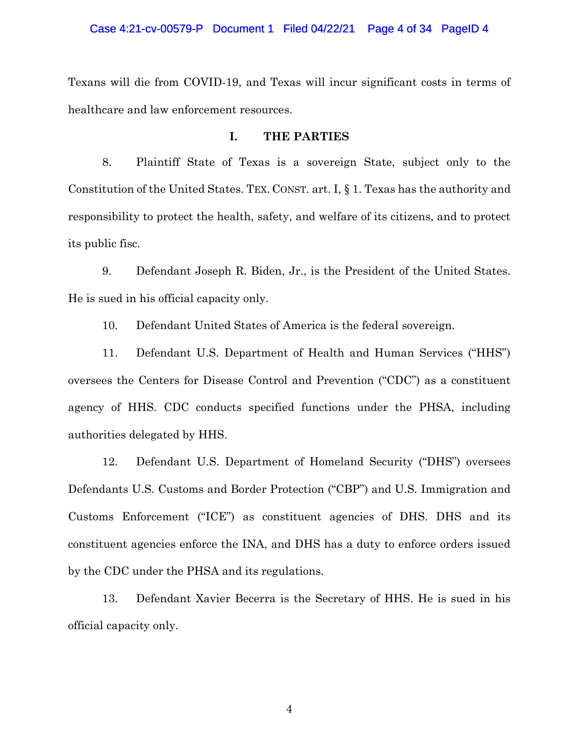Texans will die from COVID-19, and Texas will incur significant costs in terms of healthcare and law enforcement resources.

# **I. THE PARTIES**

8. Plaintiff State of Texas is a sovereign State, subject only to the Constitution of the United States. TEX. CONST. art. I, § 1. Texas has the authority and responsibility to protect the health, safety, and welfare of its citizens, and to protect its public fisc.

9. Defendant Joseph R. Biden, Jr., is the President of the United States. He is sued in his official capacity only.

10. Defendant United States of America is the federal sovereign.

11. Defendant U.S. Department of Health and Human Services ("HHS") oversees the Centers for Disease Control and Prevention ("CDC") as a constituent agency of HHS. CDC conducts specified functions under the PHSA, including authorities delegated by HHS.

12. Defendant U.S. Department of Homeland Security ("DHS") oversees Defendants U.S. Customs and Border Protection ("CBP") and U.S. Immigration and Customs Enforcement ("ICE") as constituent agencies of DHS. DHS and its constituent agencies enforce the INA, and DHS has a duty to enforce orders issued by the CDC under the PHSA and its regulations.

13. Defendant Xavier Becerra is the Secretary of HHS. He is sued in his official capacity only.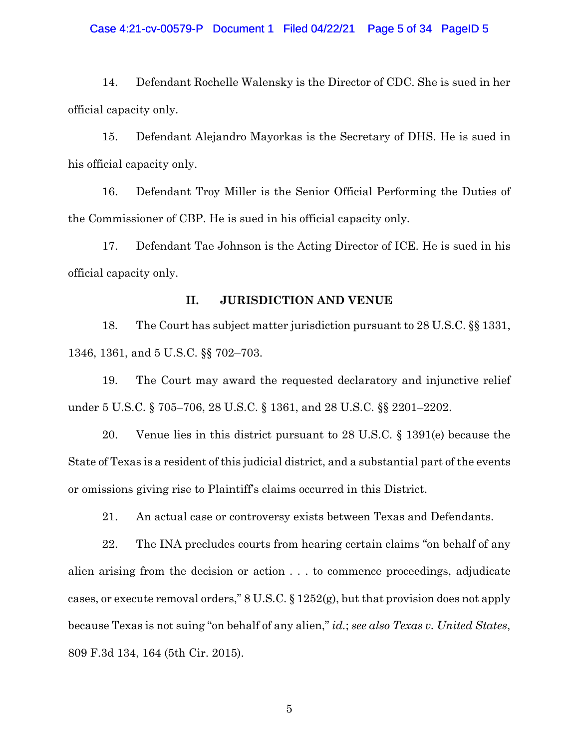## Case 4:21-cv-00579-P Document 1 Filed 04/22/21 Page 5 of 34 PageID 5

14. Defendant Rochelle Walensky is the Director of CDC. She is sued in her official capacity only.

15. Defendant Alejandro Mayorkas is the Secretary of DHS. He is sued in his official capacity only.

16. Defendant Troy Miller is the Senior Official Performing the Duties of the Commissioner of CBP. He is sued in his official capacity only.

17. Defendant Tae Johnson is the Acting Director of ICE. He is sued in his official capacity only.

# **II. JURISDICTION AND VENUE**

18. The Court has subject matter jurisdiction pursuant to 28 U.S.C. §§ 1331, 1346, 1361, and 5 U.S.C. §§ 702–703.

19. The Court may award the requested declaratory and injunctive relief under 5 U.S.C. § 705–706, 28 U.S.C. § 1361, and 28 U.S.C. §§ 2201–2202.

20. Venue lies in this district pursuant to 28 U.S.C. § 1391(e) because the State of Texas is a resident of this judicial district, and a substantial part of the events or omissions giving rise to Plaintiff's claims occurred in this District.

21. An actual case or controversy exists between Texas and Defendants.

22. The INA precludes courts from hearing certain claims "on behalf of any alien arising from the decision or action . . . to commence proceedings, adjudicate cases, or execute removal orders," 8 U.S.C. § 1252(g), but that provision does not apply because Texas is not suing "on behalf of any alien," *id.*; *see also Texas v. United States*, 809 F.3d 134, 164 (5th Cir. 2015).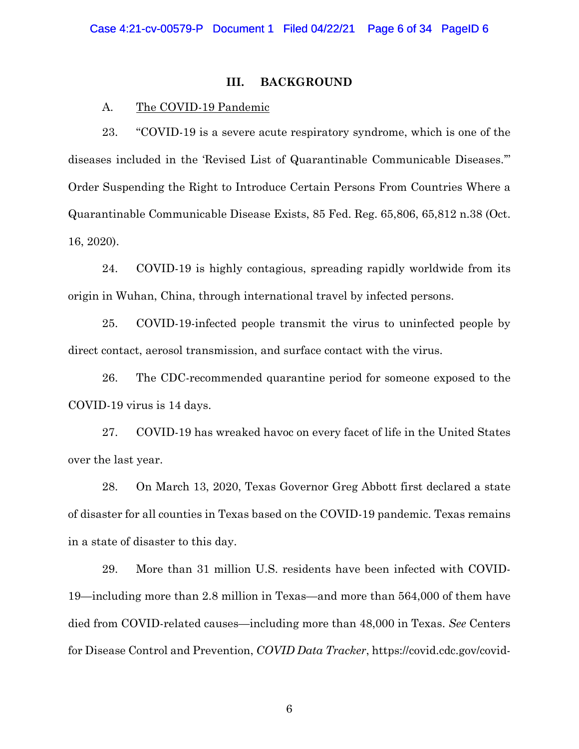## **III. BACKGROUND**

# A. The COVID-19 Pandemic

23. "COVID-19 is a severe acute respiratory syndrome, which is one of the diseases included in the 'Revised List of Quarantinable Communicable Diseases.'" Order Suspending the Right to Introduce Certain Persons From Countries Where a Quarantinable Communicable Disease Exists, 85 Fed. Reg. 65,806, 65,812 n.38 (Oct. 16, 2020).

24. COVID-19 is highly contagious, spreading rapidly worldwide from its origin in Wuhan, China, through international travel by infected persons.

25. COVID-19-infected people transmit the virus to uninfected people by direct contact, aerosol transmission, and surface contact with the virus.

26. The CDC-recommended quarantine period for someone exposed to the COVID-19 virus is 14 days.

27. COVID-19 has wreaked havoc on every facet of life in the United States over the last year.

28. On March 13, 2020, Texas Governor Greg Abbott first declared a state of disaster for all counties in Texas based on the COVID-19 pandemic. Texas remains in a state of disaster to this day.

29. More than 31 million U.S. residents have been infected with COVID-19—including more than 2.8 million in Texas—and more than 564,000 of them have died from COVID-related causes—including more than 48,000 in Texas. *See* Centers for Disease Control and Prevention, *COVID Data Tracker*, https://covid.cdc.gov/covid-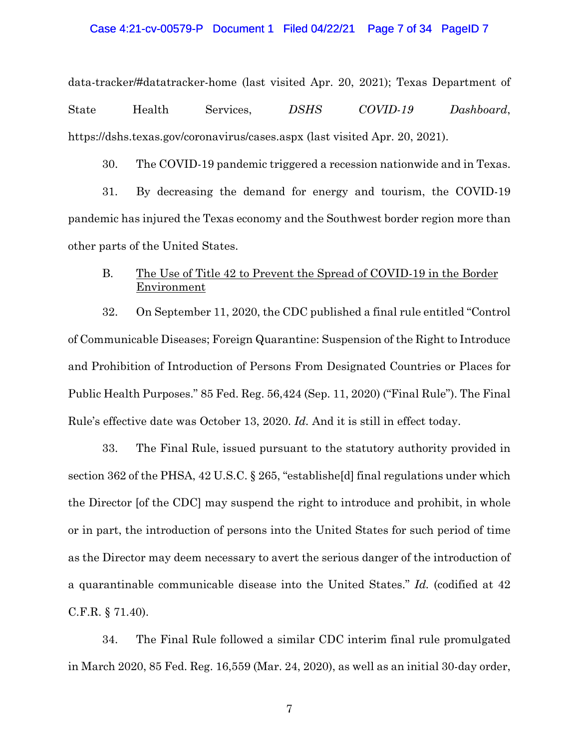## Case 4:21-cv-00579-P Document 1 Filed 04/22/21 Page 7 of 34 PageID 7

data-tracker/#datatracker-home (last visited Apr. 20, 2021); Texas Department of State Health Services, *DSHS COVID-19 Dashboard*, https://dshs.texas.gov/coronavirus/cases.aspx (last visited Apr. 20, 2021).

30. The COVID-19 pandemic triggered a recession nationwide and in Texas.

31. By decreasing the demand for energy and tourism, the COVID-19 pandemic has injured the Texas economy and the Southwest border region more than other parts of the United States.

# B. The Use of Title 42 to Prevent the Spread of COVID-19 in the Border Environment

32. On September 11, 2020, the CDC published a final rule entitled "Control of Communicable Diseases; Foreign Quarantine: Suspension of the Right to Introduce and Prohibition of Introduction of Persons From Designated Countries or Places for Public Health Purposes." 85 Fed. Reg. 56,424 (Sep. 11, 2020) ("Final Rule"). The Final Rule's effective date was October 13, 2020. *Id.* And it is still in effect today.

33. The Final Rule, issued pursuant to the statutory authority provided in section 362 of the PHSA, 42 U.S.C. § 265, "establishe[d] final regulations under which the Director [of the CDC] may suspend the right to introduce and prohibit, in whole or in part, the introduction of persons into the United States for such period of time as the Director may deem necessary to avert the serious danger of the introduction of a quarantinable communicable disease into the United States." *Id.* (codified at 42 C.F.R. § 71.40).

34. The Final Rule followed a similar CDC interim final rule promulgated in March 2020, 85 Fed. Reg. 16,559 (Mar. 24, 2020), as well as an initial 30-day order,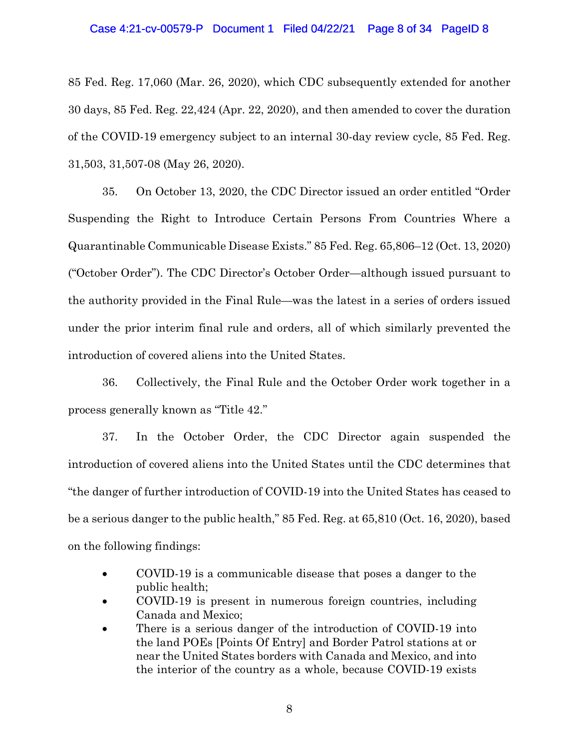### Case 4:21-cv-00579-P Document 1 Filed 04/22/21 Page 8 of 34 PageID 8

85 Fed. Reg. 17,060 (Mar. 26, 2020), which CDC subsequently extended for another 30 days, 85 Fed. Reg. 22,424 (Apr. 22, 2020), and then amended to cover the duration of the COVID-19 emergency subject to an internal 30-day review cycle, 85 Fed. Reg. 31,503, 31,507-08 (May 26, 2020).

35. On October 13, 2020, the CDC Director issued an order entitled "Order Suspending the Right to Introduce Certain Persons From Countries Where a Quarantinable Communicable Disease Exists." 85 Fed. Reg. 65,806–12 (Oct. 13, 2020) ("October Order"). The CDC Director's October Order—although issued pursuant to the authority provided in the Final Rule—was the latest in a series of orders issued under the prior interim final rule and orders, all of which similarly prevented the introduction of covered aliens into the United States.

36. Collectively, the Final Rule and the October Order work together in a process generally known as "Title 42."

37. In the October Order, the CDC Director again suspended the introduction of covered aliens into the United States until the CDC determines that "the danger of further introduction of COVID-19 into the United States has ceased to be a serious danger to the public health," 85 Fed. Reg. at 65,810 (Oct. 16, 2020), based on the following findings:

- COVID-19 is a communicable disease that poses a danger to the public health;
- COVID-19 is present in numerous foreign countries, including Canada and Mexico;
- There is a serious danger of the introduction of COVID-19 into the land POEs [Points Of Entry] and Border Patrol stations at or near the United States borders with Canada and Mexico, and into the interior of the country as a whole, because COVID-19 exists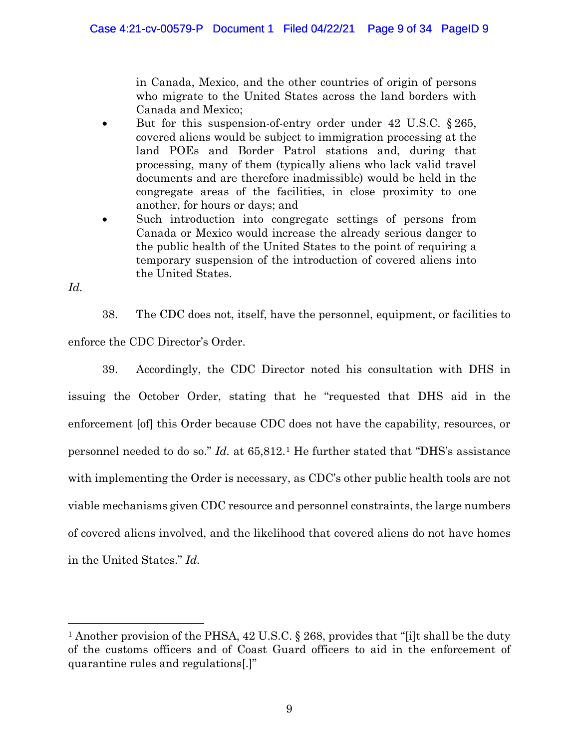in Canada, Mexico, and the other countries of origin of persons who migrate to the United States across the land borders with Canada and Mexico;

- But for this suspension-of-entry order under 42 U.S.C. § 265, covered aliens would be subject to immigration processing at the land POEs and Border Patrol stations and, during that processing, many of them (typically aliens who lack valid travel documents and are therefore inadmissible) would be held in the congregate areas of the facilities, in close proximity to one another, for hours or days; and
- Such introduction into congregate settings of persons from Canada or Mexico would increase the already serious danger to the public health of the United States to the point of requiring a temporary suspension of the introduction of covered aliens into the United States.

*Id.* 

38. The CDC does not, itself, have the personnel, equipment, or facilities to enforce the CDC Director's Order.

39. Accordingly, the CDC Director noted his consultation with DHS in issuing the October Order, stating that he "requested that DHS aid in the enforcement [of] this Order because CDC does not have the capability, resources, or personnel needed to do so." *Id.* at 65,812[.1](#page-8-0) He further stated that "DHS's assistance with implementing the Order is necessary, as CDC's other public health tools are not viable mechanisms given CDC resource and personnel constraints, the large numbers of covered aliens involved, and the likelihood that covered aliens do not have homes in the United States." *Id.* 

<span id="page-8-0"></span><sup>&</sup>lt;sup>1</sup> Another provision of the PHSA, 42 U.S.C. § 268, provides that "[i]t shall be the duty of the customs officers and of Coast Guard officers to aid in the enforcement of quarantine rules and regulations[.]"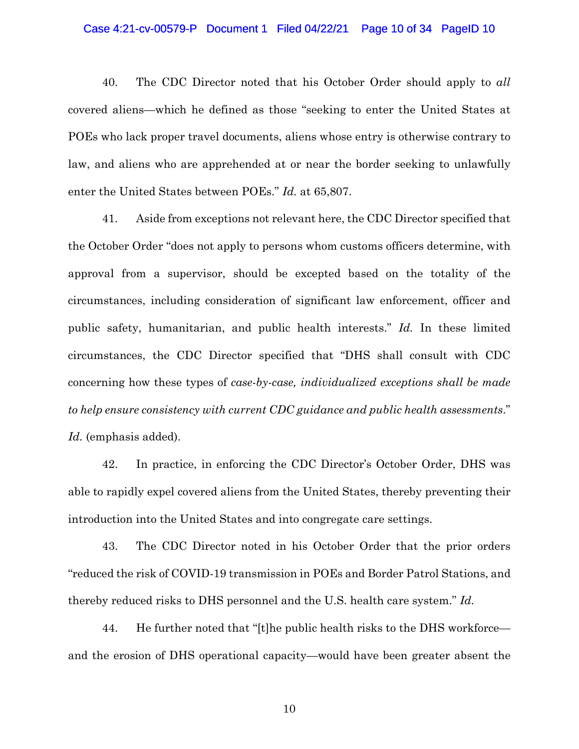## Case 4:21-cv-00579-P Document 1 Filed 04/22/21 Page 10 of 34 PageID 10

40. The CDC Director noted that his October Order should apply to *all*  covered aliens—which he defined as those "seeking to enter the United States at POEs who lack proper travel documents, aliens whose entry is otherwise contrary to law, and aliens who are apprehended at or near the border seeking to unlawfully enter the United States between POEs." *Id.* at 65,807.

41. Aside from exceptions not relevant here, the CDC Director specified that the October Order "does not apply to persons whom customs officers determine, with approval from a supervisor, should be excepted based on the totality of the circumstances, including consideration of significant law enforcement, officer and public safety, humanitarian, and public health interests." *Id.* In these limited circumstances, the CDC Director specified that "DHS shall consult with CDC concerning how these types of *case-by-case, individualized exceptions shall be made to help ensure consistency with current CDC guidance and public health assessments*." *Id.* (emphasis added).

42. In practice, in enforcing the CDC Director's October Order, DHS was able to rapidly expel covered aliens from the United States, thereby preventing their introduction into the United States and into congregate care settings.

43. The CDC Director noted in his October Order that the prior orders "reduced the risk of COVID-19 transmission in POEs and Border Patrol Stations, and thereby reduced risks to DHS personnel and the U.S. health care system." *Id.* 

44. He further noted that "[t]he public health risks to the DHS workforce and the erosion of DHS operational capacity—would have been greater absent the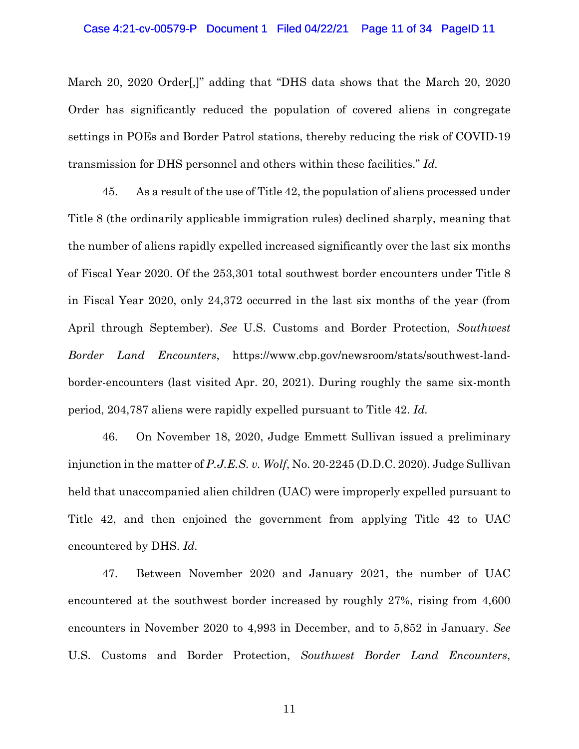## Case 4:21-cv-00579-P Document 1 Filed 04/22/21 Page 11 of 34 PageID 11

March 20, 2020 Order[,]" adding that "DHS data shows that the March 20, 2020 Order has significantly reduced the population of covered aliens in congregate settings in POEs and Border Patrol stations, thereby reducing the risk of COVID-19 transmission for DHS personnel and others within these facilities." *Id.* 

45. As a result of the use of Title 42, the population of aliens processed under Title 8 (the ordinarily applicable immigration rules) declined sharply, meaning that the number of aliens rapidly expelled increased significantly over the last six months of Fiscal Year 2020. Of the 253,301 total southwest border encounters under Title 8 in Fiscal Year 2020, only 24,372 occurred in the last six months of the year (from April through September). *See* U.S. Customs and Border Protection, *Southwest Border Land Encounters*, https://www.cbp.gov/newsroom/stats/southwest-landborder-encounters (last visited Apr. 20, 2021). During roughly the same six-month period, 204,787 aliens were rapidly expelled pursuant to Title 42. *Id.*

46. On November 18, 2020, Judge Emmett Sullivan issued a preliminary injunction in the matter of *P.J.E.S. v. Wolf*, No. 20-2245 (D.D.C. 2020). Judge Sullivan held that unaccompanied alien children (UAC) were improperly expelled pursuant to Title 42, and then enjoined the government from applying Title 42 to UAC encountered by DHS. *Id.* 

47. Between November 2020 and January 2021, the number of UAC encountered at the southwest border increased by roughly 27%, rising from 4,600 encounters in November 2020 to 4,993 in December, and to 5,852 in January. *See*  U.S. Customs and Border Protection, *Southwest Border Land Encounters*,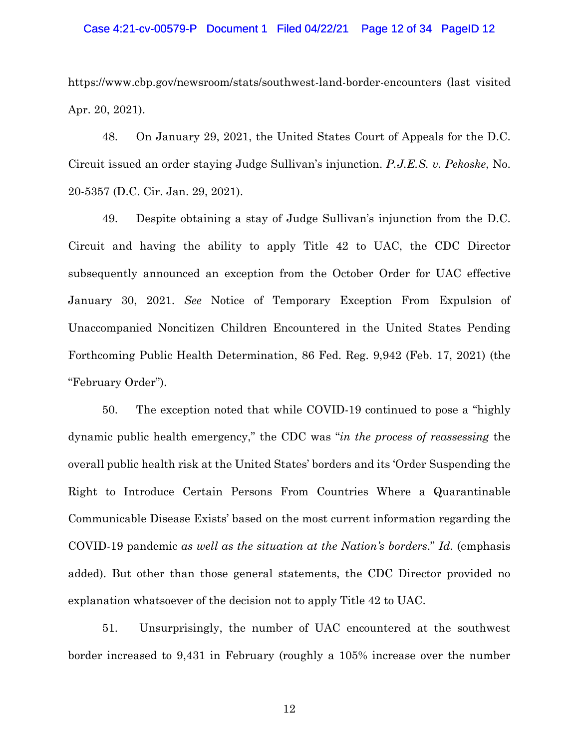## Case 4:21-cv-00579-P Document 1 Filed 04/22/21 Page 12 of 34 PageID 12

https://www.cbp.gov/newsroom/stats/southwest-land-border-encounters (last visited Apr. 20, 2021).

48. On January 29, 2021, the United States Court of Appeals for the D.C. Circuit issued an order staying Judge Sullivan's injunction. *P.J.E.S. v. Pekoske*, No. 20-5357 (D.C. Cir. Jan. 29, 2021).

49. Despite obtaining a stay of Judge Sullivan's injunction from the D.C. Circuit and having the ability to apply Title 42 to UAC, the CDC Director subsequently announced an exception from the October Order for UAC effective January 30, 2021. *See* Notice of Temporary Exception From Expulsion of Unaccompanied Noncitizen Children Encountered in the United States Pending Forthcoming Public Health Determination, 86 Fed. Reg. 9,942 (Feb. 17, 2021) (the "February Order").

50. The exception noted that while COVID-19 continued to pose a "highly dynamic public health emergency," the CDC was "*in the process of reassessing* the overall public health risk at the United States' borders and its 'Order Suspending the Right to Introduce Certain Persons From Countries Where a Quarantinable Communicable Disease Exists' based on the most current information regarding the COVID-19 pandemic *as well as the situation at the Nation's borders*." *Id.* (emphasis added). But other than those general statements, the CDC Director provided no explanation whatsoever of the decision not to apply Title 42 to UAC.

51. Unsurprisingly, the number of UAC encountered at the southwest border increased to 9,431 in February (roughly a 105% increase over the number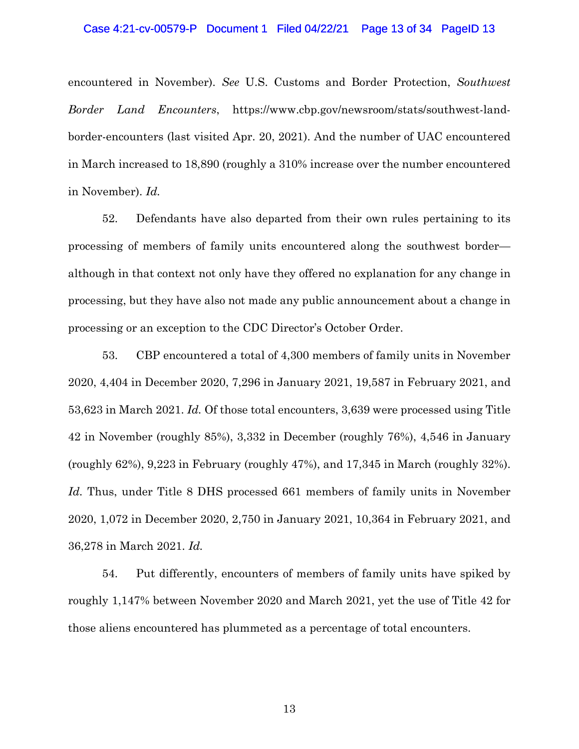### Case 4:21-cv-00579-P Document 1 Filed 04/22/21 Page 13 of 34 PageID 13

encountered in November). *See* U.S. Customs and Border Protection, *Southwest Border Land Encounters*, https://www.cbp.gov/newsroom/stats/southwest-landborder-encounters (last visited Apr. 20, 2021). And the number of UAC encountered in March increased to 18,890 (roughly a 310% increase over the number encountered in November). *Id.* 

52. Defendants have also departed from their own rules pertaining to its processing of members of family units encountered along the southwest border although in that context not only have they offered no explanation for any change in processing, but they have also not made any public announcement about a change in processing or an exception to the CDC Director's October Order.

53. CBP encountered a total of 4,300 members of family units in November 2020, 4,404 in December 2020, 7,296 in January 2021, 19,587 in February 2021, and 53,623 in March 2021. *Id.* Of those total encounters, 3,639 were processed using Title 42 in November (roughly 85%), 3,332 in December (roughly 76%), 4,546 in January (roughly 62%), 9,223 in February (roughly 47%), and 17,345 in March (roughly 32%). *Id.* Thus, under Title 8 DHS processed 661 members of family units in November 2020, 1,072 in December 2020, 2,750 in January 2021, 10,364 in February 2021, and 36,278 in March 2021. *Id.* 

54. Put differently, encounters of members of family units have spiked by roughly 1,147% between November 2020 and March 2021, yet the use of Title 42 for those aliens encountered has plummeted as a percentage of total encounters.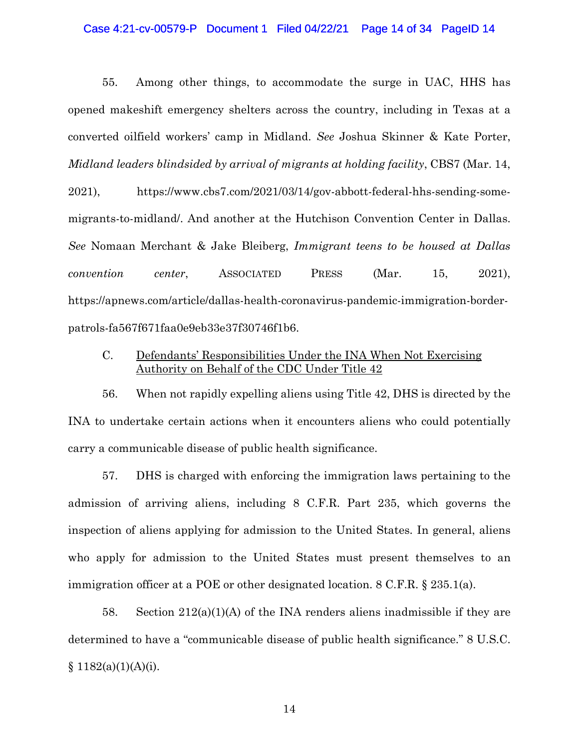### Case 4:21-cv-00579-P Document 1 Filed 04/22/21 Page 14 of 34 PageID 14

55. Among other things, to accommodate the surge in UAC, HHS has opened makeshift emergency shelters across the country, including in Texas at a converted oilfield workers' camp in Midland. *See* Joshua Skinner & Kate Porter, *Midland leaders blindsided by arrival of migrants at holding facility*, CBS7 (Mar. 14,

2021), https://www.cbs7.com/2021/03/14/gov-abbott-federal-hhs-sending-somemigrants-to-midland/. And another at the Hutchison Convention Center in Dallas. *See* Nomaan Merchant & Jake Bleiberg, *Immigrant teens to be housed at Dallas convention center*, ASSOCIATED PRESS (Mar. 15, 2021), https://apnews.com/article/dallas-health-coronavirus-pandemic-immigration-borderpatrols-fa567f671faa0e9eb33e37f30746f1b6.

# C. Defendants' Responsibilities Under the INA When Not Exercising Authority on Behalf of the CDC Under Title 42

56. When not rapidly expelling aliens using Title 42, DHS is directed by the INA to undertake certain actions when it encounters aliens who could potentially carry a communicable disease of public health significance.

57. DHS is charged with enforcing the immigration laws pertaining to the admission of arriving aliens, including 8 C.F.R. Part 235, which governs the inspection of aliens applying for admission to the United States. In general, aliens who apply for admission to the United States must present themselves to an immigration officer at a POE or other designated location. 8 C.F.R. § 235.1(a).

58. Section  $212(a)(1)(A)$  of the INA renders aliens inadmissible if they are determined to have a "communicable disease of public health significance." 8 U.S.C.  $$1182(a)(1)(A)(i).$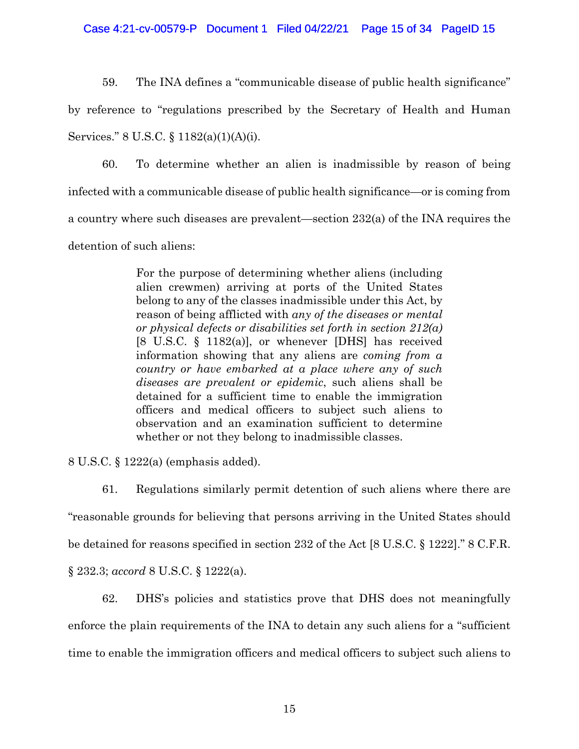Case 4:21-cv-00579-P Document 1 Filed 04/22/21 Page 15 of 34 PageID 15

59. The INA defines a "communicable disease of public health significance"

by reference to "regulations prescribed by the Secretary of Health and Human Services." 8 U.S.C. § 1182(a)(1)(A)(i).

60. To determine whether an alien is inadmissible by reason of being infected with a communicable disease of public health significance—or is coming from a country where such diseases are prevalent—section 232(a) of the INA requires the detention of such aliens:

> For the purpose of determining whether aliens (including alien crewmen) arriving at ports of the United States belong to any of the classes inadmissible under this Act, by reason of being afflicted with *any of the diseases or mental or physical defects or disabilities set forth in section 212(a)* [8 U.S.C. § 1182(a)], or whenever [DHS] has received information showing that any aliens are *coming from a country or have embarked at a place where any of such diseases are prevalent or epidemic*, such aliens shall be detained for a sufficient time to enable the immigration officers and medical officers to subject such aliens to observation and an examination sufficient to determine whether or not they belong to inadmissible classes.

8 U.S.C. § 1222(a) (emphasis added).

61. Regulations similarly permit detention of such aliens where there are "reasonable grounds for believing that persons arriving in the United States should be detained for reasons specified in section 232 of the Act [8 U.S.C. § 1222]." 8 C.F.R. § 232.3; *accord* 8 U.S.C. § 1222(a).

62. DHS's policies and statistics prove that DHS does not meaningfully enforce the plain requirements of the INA to detain any such aliens for a "sufficient time to enable the immigration officers and medical officers to subject such aliens to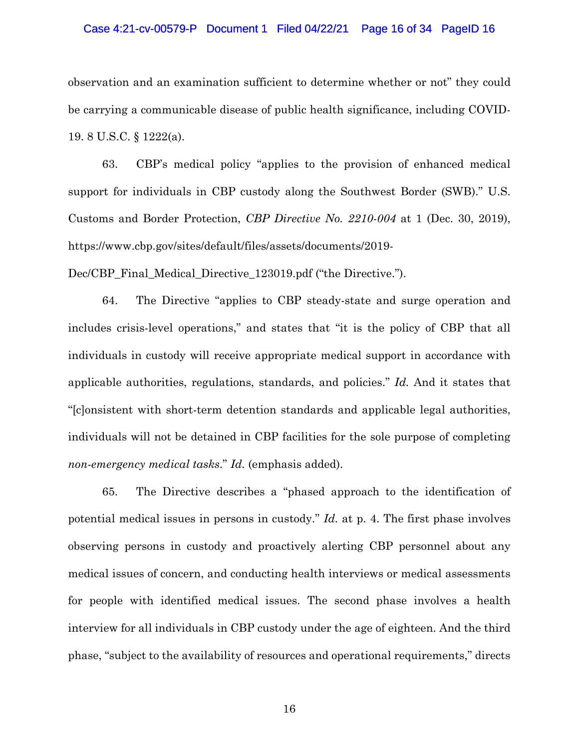## Case 4:21-cv-00579-P Document 1 Filed 04/22/21 Page 16 of 34 PageID 16

observation and an examination sufficient to determine whether or not" they could be carrying a communicable disease of public health significance, including COVID-19. 8 U.S.C. § 1222(a).

63. CBP's medical policy "applies to the provision of enhanced medical support for individuals in CBP custody along the Southwest Border (SWB)." U.S. Customs and Border Protection, *CBP Directive No. 2210-004* at 1 (Dec. 30, 2019), https://www.cbp.gov/sites/default/files/assets/documents/2019-

Dec/CBP Final Medical Directive 123019.pdf ("the Directive.").

64. The Directive "applies to CBP steady-state and surge operation and includes crisis-level operations," and states that "it is the policy of CBP that all individuals in custody will receive appropriate medical support in accordance with applicable authorities, regulations, standards, and policies." *Id.* And it states that "[c]onsistent with short-term detention standards and applicable legal authorities, individuals will not be detained in CBP facilities for the sole purpose of completing *non-emergency medical tasks*." *Id.* (emphasis added).

65. The Directive describes a "phased approach to the identification of potential medical issues in persons in custody." *Id.* at p. 4. The first phase involves observing persons in custody and proactively alerting CBP personnel about any medical issues of concern, and conducting health interviews or medical assessments for people with identified medical issues. The second phase involves a health interview for all individuals in CBP custody under the age of eighteen. And the third phase, "subject to the availability of resources and operational requirements," directs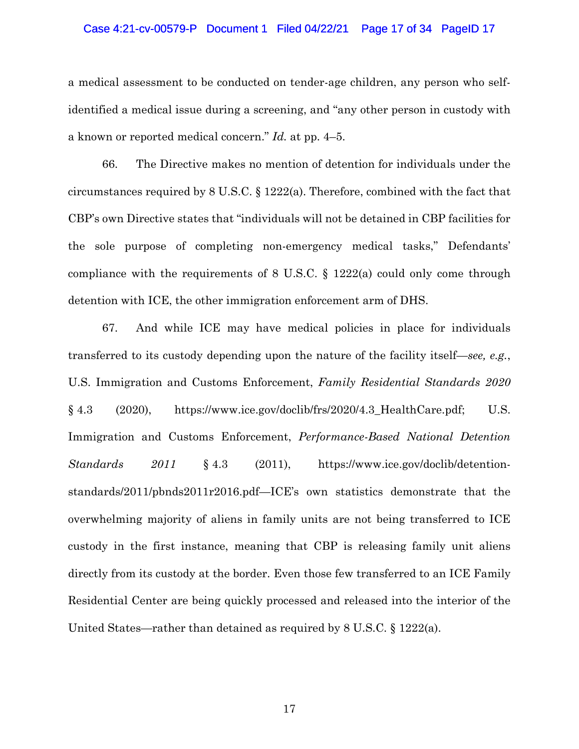## Case 4:21-cv-00579-P Document 1 Filed 04/22/21 Page 17 of 34 PageID 17

a medical assessment to be conducted on tender-age children, any person who selfidentified a medical issue during a screening, and "any other person in custody with a known or reported medical concern." *Id.* at pp. 4–5.

66. The Directive makes no mention of detention for individuals under the circumstances required by 8 U.S.C. § 1222(a). Therefore, combined with the fact that CBP's own Directive states that "individuals will not be detained in CBP facilities for the sole purpose of completing non-emergency medical tasks," Defendants' compliance with the requirements of 8 U.S.C. § 1222(a) could only come through detention with ICE, the other immigration enforcement arm of DHS.

67. And while ICE may have medical policies in place for individuals transferred to its custody depending upon the nature of the facility itself—*see, e.g.*, U.S. Immigration and Customs Enforcement, *Family Residential Standards 2020*  $§ 4.3$  (2020), https://www.ice.gov/doclib/frs/2020/4.3\_HealthCare.pdf; U.S. Immigration and Customs Enforcement, *Performance-Based National Detention Standards 2011* § 4.3 (2011), https://www.ice.gov/doclib/detentionstandards/2011/pbnds2011r2016.pdf—ICE's own statistics demonstrate that the overwhelming majority of aliens in family units are not being transferred to ICE custody in the first instance, meaning that CBP is releasing family unit aliens directly from its custody at the border. Even those few transferred to an ICE Family Residential Center are being quickly processed and released into the interior of the United States—rather than detained as required by 8 U.S.C. § 1222(a).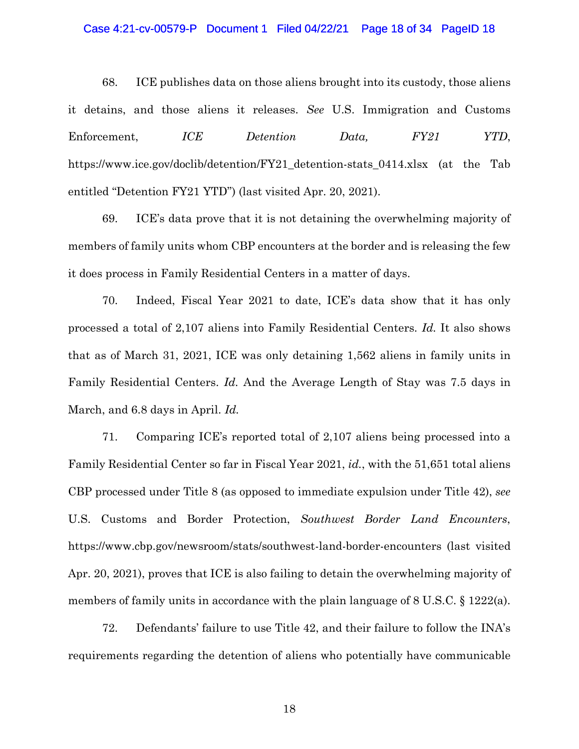## Case 4:21-cv-00579-P Document 1 Filed 04/22/21 Page 18 of 34 PageID 18

68. ICE publishes data on those aliens brought into its custody, those aliens it detains, and those aliens it releases. *See* U.S. Immigration and Customs Enforcement, *ICE Detention Data, FY21 YTD*, https://www.ice.gov/doclib/detention/FY21 detention-stats 0414.xlsx (at the Tab entitled "Detention FY21 YTD") (last visited Apr. 20, 2021).

69. ICE's data prove that it is not detaining the overwhelming majority of members of family units whom CBP encounters at the border and is releasing the few it does process in Family Residential Centers in a matter of days.

70. Indeed, Fiscal Year 2021 to date, ICE's data show that it has only processed a total of 2,107 aliens into Family Residential Centers. *Id.* It also shows that as of March 31, 2021, ICE was only detaining 1,562 aliens in family units in Family Residential Centers. *Id.* And the Average Length of Stay was 7.5 days in March, and 6.8 days in April. *Id.* 

71. Comparing ICE's reported total of 2,107 aliens being processed into a Family Residential Center so far in Fiscal Year 2021, *id.*, with the 51,651 total aliens CBP processed under Title 8 (as opposed to immediate expulsion under Title 42), *see*  U.S. Customs and Border Protection, *Southwest Border Land Encounters*, https://www.cbp.gov/newsroom/stats/southwest-land-border-encounters (last visited Apr. 20, 2021), proves that ICE is also failing to detain the overwhelming majority of members of family units in accordance with the plain language of 8 U.S.C. § 1222(a).

72. Defendants' failure to use Title 42, and their failure to follow the INA's requirements regarding the detention of aliens who potentially have communicable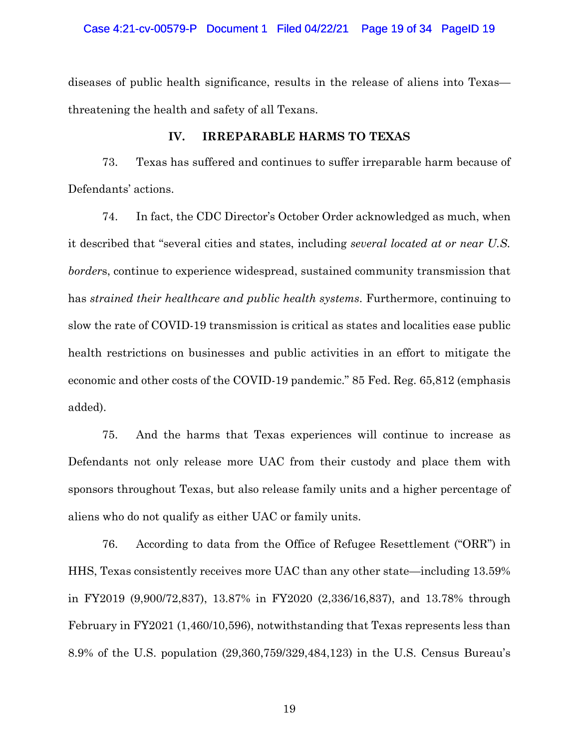diseases of public health significance, results in the release of aliens into Texas threatening the health and safety of all Texans.

# **IV. IRREPARABLE HARMS TO TEXAS**

73. Texas has suffered and continues to suffer irreparable harm because of Defendants' actions.

74. In fact, the CDC Director's October Order acknowledged as much, when it described that "several cities and states, including *several located at or near U.S. border*s, continue to experience widespread, sustained community transmission that has *strained their healthcare and public health systems*. Furthermore, continuing to slow the rate of COVID-19 transmission is critical as states and localities ease public health restrictions on businesses and public activities in an effort to mitigate the economic and other costs of the COVID-19 pandemic." 85 Fed. Reg. 65,812 (emphasis added).

75. And the harms that Texas experiences will continue to increase as Defendants not only release more UAC from their custody and place them with sponsors throughout Texas, but also release family units and a higher percentage of aliens who do not qualify as either UAC or family units.

76. According to data from the Office of Refugee Resettlement ("ORR") in HHS, Texas consistently receives more UAC than any other state—including 13.59% in FY2019 (9,900/72,837), 13.87% in FY2020 (2,336/16,837), and 13.78% through February in FY2021 (1,460/10,596), notwithstanding that Texas represents less than 8.9% of the U.S. population (29,360,759/329,484,123) in the U.S. Census Bureau's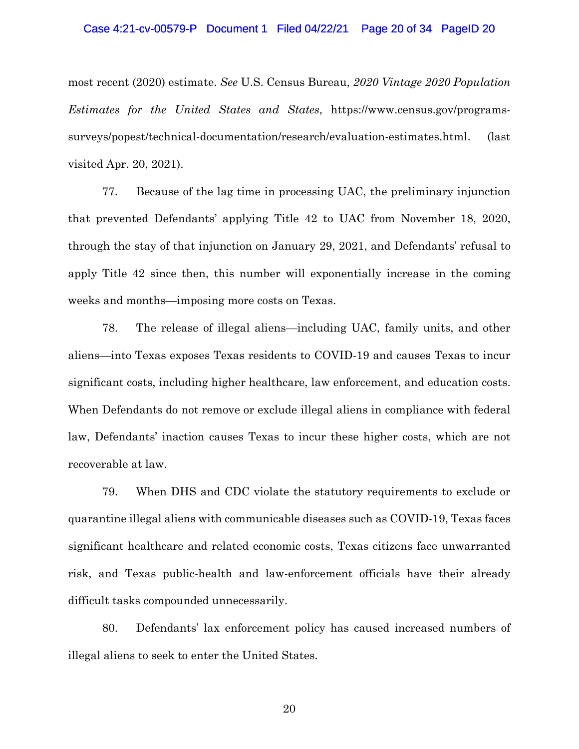### Case 4:21-cv-00579-P Document 1 Filed 04/22/21 Page 20 of 34 PageID 20

most recent (2020) estimate. *See* U.S. Census Bureau, *2020 Vintage 2020 Population Estimates for the United States and States*, https://www.census.gov/programssurveys/popest/technical-documentation/research/evaluation-estimates.html. (last visited Apr. 20, 2021).

77. Because of the lag time in processing UAC, the preliminary injunction that prevented Defendants' applying Title 42 to UAC from November 18, 2020, through the stay of that injunction on January 29, 2021, and Defendants' refusal to apply Title 42 since then, this number will exponentially increase in the coming weeks and months—imposing more costs on Texas.

78. The release of illegal aliens—including UAC, family units, and other aliens—into Texas exposes Texas residents to COVID-19 and causes Texas to incur significant costs, including higher healthcare, law enforcement, and education costs. When Defendants do not remove or exclude illegal aliens in compliance with federal law, Defendants' inaction causes Texas to incur these higher costs, which are not recoverable at law.

79. When DHS and CDC violate the statutory requirements to exclude or quarantine illegal aliens with communicable diseases such as COVID-19, Texas faces significant healthcare and related economic costs, Texas citizens face unwarranted risk, and Texas public-health and law-enforcement officials have their already difficult tasks compounded unnecessarily.

80. Defendants' lax enforcement policy has caused increased numbers of illegal aliens to seek to enter the United States.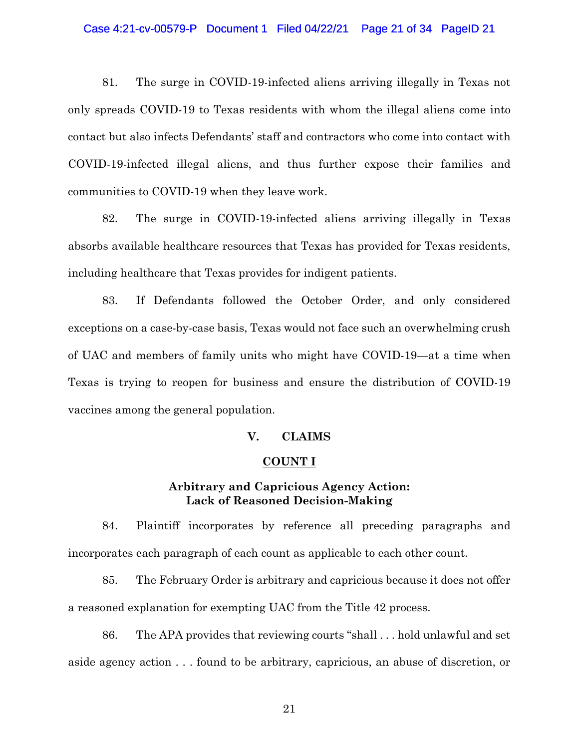## Case 4:21-cv-00579-P Document 1 Filed 04/22/21 Page 21 of 34 PageID 21

81. The surge in COVID-19-infected aliens arriving illegally in Texas not only spreads COVID-19 to Texas residents with whom the illegal aliens come into contact but also infects Defendants' staff and contractors who come into contact with COVID-19-infected illegal aliens, and thus further expose their families and communities to COVID-19 when they leave work.

82. The surge in COVID-19-infected aliens arriving illegally in Texas absorbs available healthcare resources that Texas has provided for Texas residents, including healthcare that Texas provides for indigent patients.

83. If Defendants followed the October Order, and only considered exceptions on a case-by-case basis, Texas would not face such an overwhelming crush of UAC and members of family units who might have COVID-19—at a time when Texas is trying to reopen for business and ensure the distribution of COVID-19 vaccines among the general population.

# **V. CLAIMS**

## **COUNT I**

# **Arbitrary and Capricious Agency Action: Lack of Reasoned Decision-Making**

84. Plaintiff incorporates by reference all preceding paragraphs and incorporates each paragraph of each count as applicable to each other count.

85. The February Order is arbitrary and capricious because it does not offer a reasoned explanation for exempting UAC from the Title 42 process.

86. The APA provides that reviewing courts "shall . . . hold unlawful and set aside agency action . . . found to be arbitrary, capricious, an abuse of discretion, or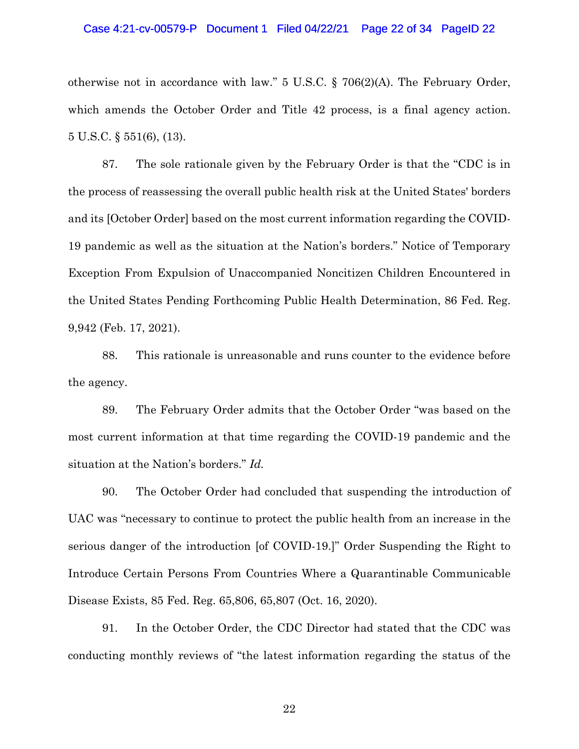## Case 4:21-cv-00579-P Document 1 Filed 04/22/21 Page 22 of 34 PageID 22

otherwise not in accordance with law."  $5 \text{ U.S.C.}$  § 706(2)(A). The February Order, which amends the October Order and Title 42 process, is a final agency action. 5 U.S.C. § 551(6), (13).

87. The sole rationale given by the February Order is that the "CDC is in the process of reassessing the overall public health risk at the United States' borders and its [October Order] based on the most current information regarding the COVID-19 pandemic as well as the situation at the Nation's borders." Notice of Temporary Exception From Expulsion of Unaccompanied Noncitizen Children Encountered in the United States Pending Forthcoming Public Health Determination, 86 Fed. Reg. 9,942 (Feb. 17, 2021).

88. This rationale is unreasonable and runs counter to the evidence before the agency.

89. The February Order admits that the October Order "was based on the most current information at that time regarding the COVID-19 pandemic and the situation at the Nation's borders." *Id.* 

90. The October Order had concluded that suspending the introduction of UAC was "necessary to continue to protect the public health from an increase in the serious danger of the introduction [of COVID-19.]" Order Suspending the Right to Introduce Certain Persons From Countries Where a Quarantinable Communicable Disease Exists, 85 Fed. Reg. 65,806, 65,807 (Oct. 16, 2020).

91. In the October Order, the CDC Director had stated that the CDC was conducting monthly reviews of "the latest information regarding the status of the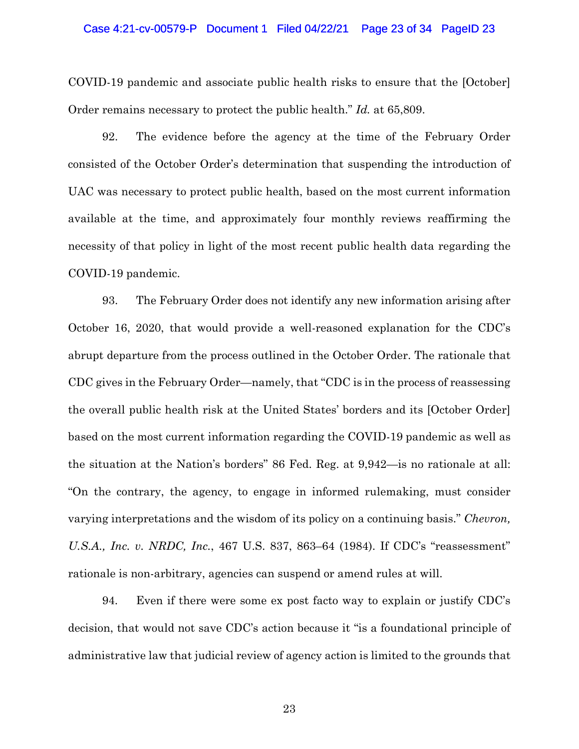## Case 4:21-cv-00579-P Document 1 Filed 04/22/21 Page 23 of 34 PageID 23

COVID-19 pandemic and associate public health risks to ensure that the [October] Order remains necessary to protect the public health." *Id.* at 65,809.

92. The evidence before the agency at the time of the February Order consisted of the October Order's determination that suspending the introduction of UAC was necessary to protect public health, based on the most current information available at the time, and approximately four monthly reviews reaffirming the necessity of that policy in light of the most recent public health data regarding the COVID-19 pandemic.

93. The February Order does not identify any new information arising after October 16, 2020, that would provide a well-reasoned explanation for the CDC's abrupt departure from the process outlined in the October Order. The rationale that CDC gives in the February Order—namely, that "CDC is in the process of reassessing the overall public health risk at the United States' borders and its [October Order] based on the most current information regarding the COVID-19 pandemic as well as the situation at the Nation's borders" 86 Fed. Reg. at 9,942—is no rationale at all: "On the contrary, the agency, to engage in informed rulemaking, must consider varying interpretations and the wisdom of its policy on a continuing basis." *Chevron, U.S.A., Inc. v. NRDC, Inc.*, 467 U.S. 837, 863–64 (1984). If CDC's "reassessment" rationale is non-arbitrary, agencies can suspend or amend rules at will.

94. Even if there were some ex post facto way to explain or justify CDC's decision, that would not save CDC's action because it "is a foundational principle of administrative law that judicial review of agency action is limited to the grounds that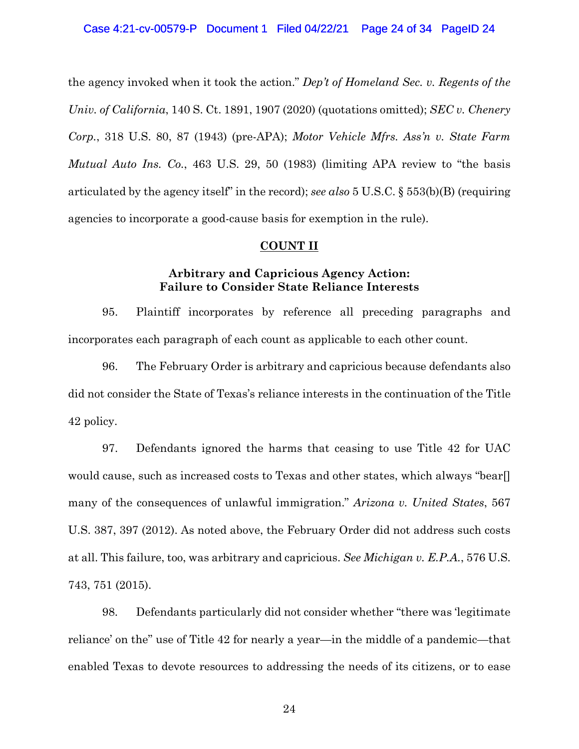the agency invoked when it took the action." *Dep't of Homeland Sec. v. Regents of the Univ. of California*, 140 S. Ct. 1891, 1907 (2020) (quotations omitted); *SEC v. Chenery Corp.*, 318 U.S. 80, 87 (1943) (pre-APA); *Motor Vehicle Mfrs. Ass'n v. State Farm Mutual Auto Ins. Co.*, 463 U.S. 29, 50 (1983) (limiting APA review to "the basis articulated by the agency itself" in the record); *see also* 5 U.S.C. § 553(b)(B) (requiring agencies to incorporate a good-cause basis for exemption in the rule).

# **COUNT II**

# **Arbitrary and Capricious Agency Action: Failure to Consider State Reliance Interests**

95. Plaintiff incorporates by reference all preceding paragraphs and incorporates each paragraph of each count as applicable to each other count.

96. The February Order is arbitrary and capricious because defendants also did not consider the State of Texas's reliance interests in the continuation of the Title 42 policy.

97. Defendants ignored the harms that ceasing to use Title 42 for UAC would cause, such as increased costs to Texas and other states, which always "bear[] many of the consequences of unlawful immigration." *Arizona v. United States*, 567 U.S. 387, 397 (2012). As noted above, the February Order did not address such costs at all. This failure, too, was arbitrary and capricious. *See Michigan v. E.P.A.*, 576 U.S. 743, 751 (2015).

98. Defendants particularly did not consider whether "there was 'legitimate reliance' on the" use of Title 42 for nearly a year—in the middle of a pandemic—that enabled Texas to devote resources to addressing the needs of its citizens, or to ease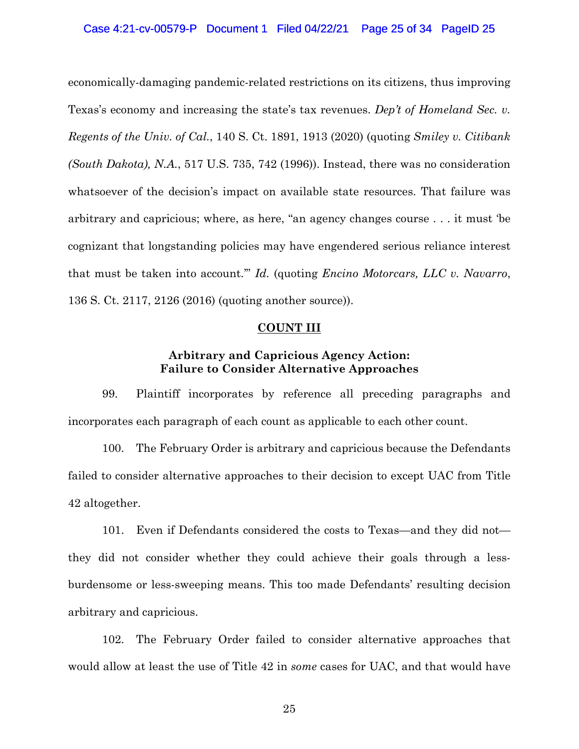economically-damaging pandemic-related restrictions on its citizens, thus improving Texas's economy and increasing the state's tax revenues. *Dep't of Homeland Sec. v. Regents of the Univ. of Cal.*, 140 S. Ct. 1891, 1913 (2020) (quoting *Smiley v. Citibank (South Dakota), N.A.*, 517 U.S. 735, 742 (1996)). Instead, there was no consideration whatsoever of the decision's impact on available state resources. That failure was arbitrary and capricious; where, as here, "an agency changes course . . . it must 'be cognizant that longstanding policies may have engendered serious reliance interest that must be taken into account.'" *Id.* (quoting *Encino Motorcars, LLC v. Navarro*, 136 S. Ct. 2117, 2126 (2016) (quoting another source)).

# **COUNT III**

# **Arbitrary and Capricious Agency Action: Failure to Consider Alternative Approaches**

99. Plaintiff incorporates by reference all preceding paragraphs and incorporates each paragraph of each count as applicable to each other count.

100. The February Order is arbitrary and capricious because the Defendants failed to consider alternative approaches to their decision to except UAC from Title 42 altogether.

101. Even if Defendants considered the costs to Texas—and they did not they did not consider whether they could achieve their goals through a lessburdensome or less-sweeping means. This too made Defendants' resulting decision arbitrary and capricious.

102. The February Order failed to consider alternative approaches that would allow at least the use of Title 42 in *some* cases for UAC, and that would have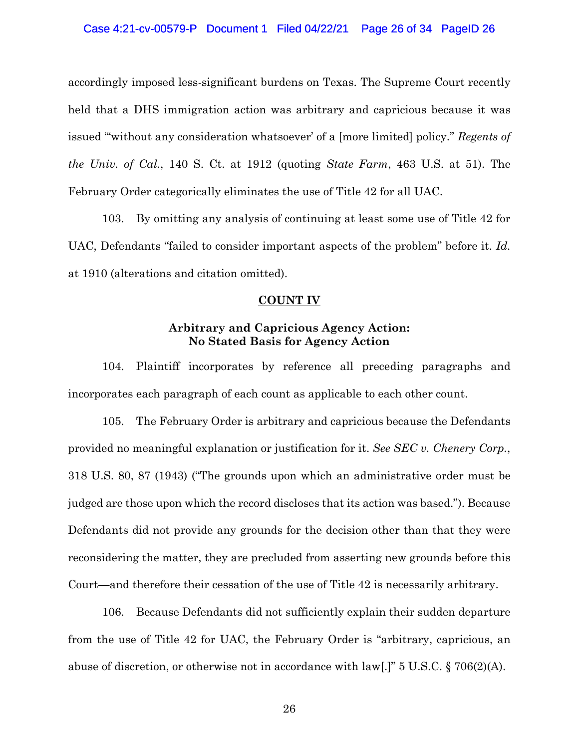accordingly imposed less-significant burdens on Texas. The Supreme Court recently held that a DHS immigration action was arbitrary and capricious because it was issued "'without any consideration whatsoever' of a [more limited] policy." *Regents of the Univ. of Cal.*, 140 S. Ct. at 1912 (quoting *State Farm*, 463 U.S. at 51). The February Order categorically eliminates the use of Title 42 for all UAC.

103. By omitting any analysis of continuing at least some use of Title 42 for UAC, Defendants "failed to consider important aspects of the problem" before it. *Id.* at 1910 (alterations and citation omitted).

# **COUNT IV**

# **Arbitrary and Capricious Agency Action: No Stated Basis for Agency Action**

104. Plaintiff incorporates by reference all preceding paragraphs and incorporates each paragraph of each count as applicable to each other count.

105. The February Order is arbitrary and capricious because the Defendants provided no meaningful explanation or justification for it. *See SEC v. Chenery Corp.*, 318 U.S. 80, 87 (1943) ("The grounds upon which an administrative order must be judged are those upon which the record discloses that its action was based."). Because Defendants did not provide any grounds for the decision other than that they were reconsidering the matter, they are precluded from asserting new grounds before this Court—and therefore their cessation of the use of Title 42 is necessarily arbitrary.

106. Because Defendants did not sufficiently explain their sudden departure from the use of Title 42 for UAC, the February Order is "arbitrary, capricious, an abuse of discretion, or otherwise not in accordance with law[.]" 5 U.S.C. § 706(2)(A).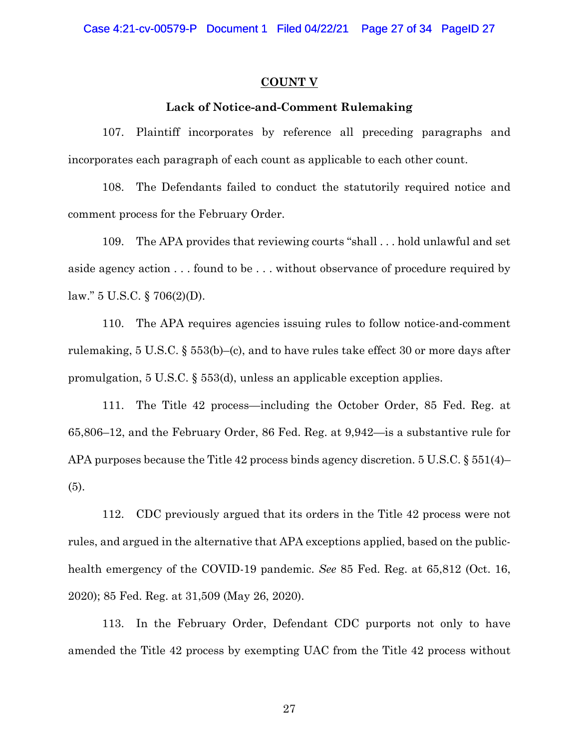# **COUNT V**

# **Lack of Notice-and-Comment Rulemaking**

107. Plaintiff incorporates by reference all preceding paragraphs and incorporates each paragraph of each count as applicable to each other count.

108. The Defendants failed to conduct the statutorily required notice and comment process for the February Order.

109. The APA provides that reviewing courts "shall . . . hold unlawful and set aside agency action . . . found to be . . . without observance of procedure required by law." 5 U.S.C. § 706(2)(D).

110. The APA requires agencies issuing rules to follow notice-and-comment rulemaking, 5 U.S.C. § 553(b)–(c), and to have rules take effect 30 or more days after promulgation, 5 U.S.C. § 553(d), unless an applicable exception applies.

111. The Title 42 process—including the October Order, 85 Fed. Reg. at 65,806–12, and the February Order, 86 Fed. Reg. at 9,942—is a substantive rule for APA purposes because the Title 42 process binds agency discretion. 5 U.S.C. § 551(4)– (5).

112. CDC previously argued that its orders in the Title 42 process were not rules, and argued in the alternative that APA exceptions applied, based on the publichealth emergency of the COVID-19 pandemic. *See* 85 Fed. Reg. at 65,812 (Oct. 16, 2020); 85 Fed. Reg. at 31,509 (May 26, 2020).

113. In the February Order, Defendant CDC purports not only to have amended the Title 42 process by exempting UAC from the Title 42 process without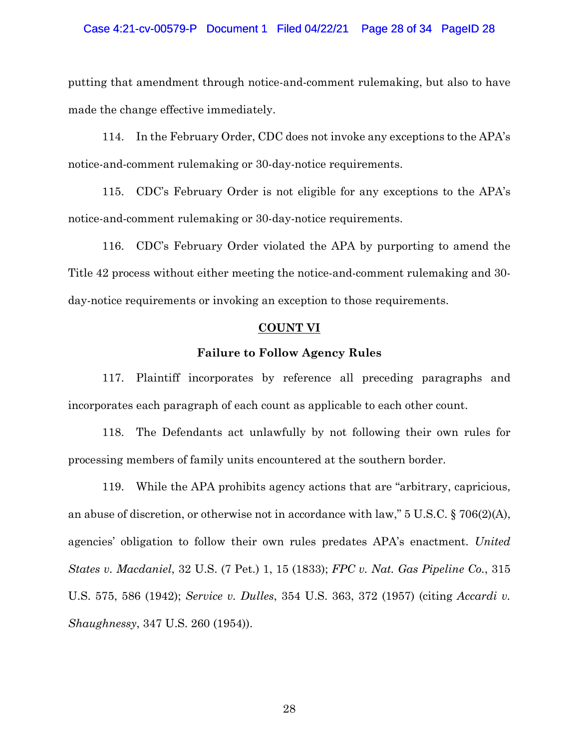putting that amendment through notice-and-comment rulemaking, but also to have made the change effective immediately.

114. In the February Order, CDC does not invoke any exceptions to the APA's notice-and-comment rulemaking or 30-day-notice requirements.

115. CDC's February Order is not eligible for any exceptions to the APA's notice-and-comment rulemaking or 30-day-notice requirements.

116. CDC's February Order violated the APA by purporting to amend the Title 42 process without either meeting the notice-and-comment rulemaking and 30 day-notice requirements or invoking an exception to those requirements.

# **COUNT VI**

# **Failure to Follow Agency Rules**

117. Plaintiff incorporates by reference all preceding paragraphs and incorporates each paragraph of each count as applicable to each other count.

118. The Defendants act unlawfully by not following their own rules for processing members of family units encountered at the southern border.

119. While the APA prohibits agency actions that are "arbitrary, capricious, an abuse of discretion, or otherwise not in accordance with law," 5 U.S.C. § 706(2)(A), agencies' obligation to follow their own rules predates APA's enactment. *United States v. Macdaniel*, 32 U.S. (7 Pet.) 1, 15 (1833); *FPC v. Nat. Gas Pipeline Co.*, 315 U.S. 575, 586 (1942); *Service v. Dulles*, 354 U.S. 363, 372 (1957) (citing *Accardi v. Shaughnessy*, 347 U.S. 260 (1954)).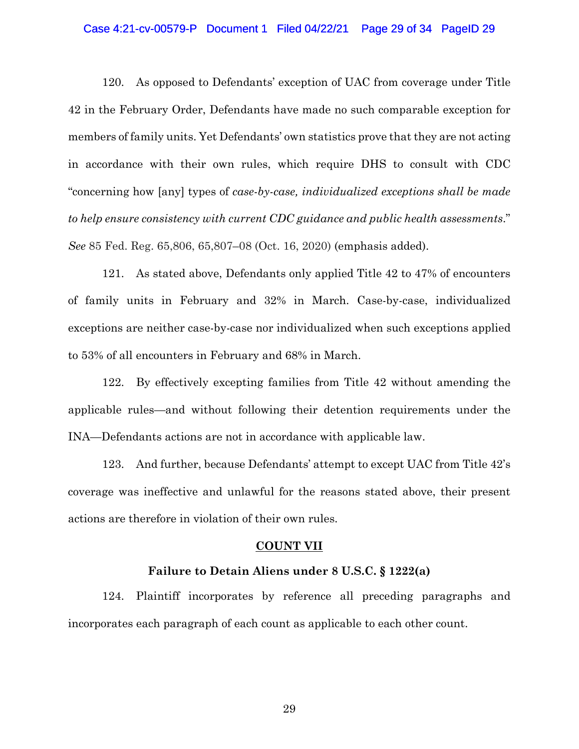## Case 4:21-cv-00579-P Document 1 Filed 04/22/21 Page 29 of 34 PageID 29

120. As opposed to Defendants' exception of UAC from coverage under Title 42 in the February Order, Defendants have made no such comparable exception for members of family units. Yet Defendants' own statistics prove that they are not acting in accordance with their own rules, which require DHS to consult with CDC "concerning how [any] types of *case-by-case, individualized exceptions shall be made to help ensure consistency with current CDC guidance and public health assessments*." *See* 85 Fed. Reg. 65,806, 65,807–08 (Oct. 16, 2020) (emphasis added).

121. As stated above, Defendants only applied Title 42 to 47% of encounters of family units in February and 32% in March. Case-by-case, individualized exceptions are neither case-by-case nor individualized when such exceptions applied to 53% of all encounters in February and 68% in March.

122. By effectively excepting families from Title 42 without amending the applicable rules—and without following their detention requirements under the INA—Defendants actions are not in accordance with applicable law.

123. And further, because Defendants' attempt to except UAC from Title 42's coverage was ineffective and unlawful for the reasons stated above, their present actions are therefore in violation of their own rules.

#### **COUNT VII**

### **Failure to Detain Aliens under 8 U.S.C. § 1222(a)**

124. Plaintiff incorporates by reference all preceding paragraphs and incorporates each paragraph of each count as applicable to each other count.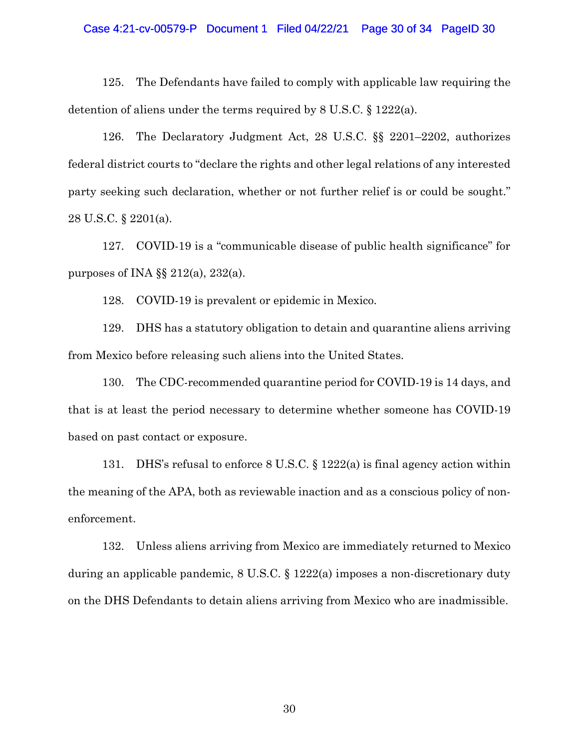#### Case 4:21-cv-00579-P Document 1 Filed 04/22/21 Page 30 of 34 PageID 30

125. The Defendants have failed to comply with applicable law requiring the detention of aliens under the terms required by 8 U.S.C. § 1222(a).

126. The Declaratory Judgment Act, 28 U.S.C. §§ 2201–2202, authorizes federal district courts to "declare the rights and other legal relations of any interested party seeking such declaration, whether or not further relief is or could be sought." 28 U.S.C. § 2201(a).

127. COVID-19 is a "communicable disease of public health significance" for purposes of INA  $\S$ § 212(a), 232(a).

128. COVID-19 is prevalent or epidemic in Mexico.

129. DHS has a statutory obligation to detain and quarantine aliens arriving from Mexico before releasing such aliens into the United States.

130. The CDC-recommended quarantine period for COVID-19 is 14 days, and that is at least the period necessary to determine whether someone has COVID-19 based on past contact or exposure.

131. DHS's refusal to enforce 8 U.S.C. § 1222(a) is final agency action within the meaning of the APA, both as reviewable inaction and as a conscious policy of nonenforcement.

132. Unless aliens arriving from Mexico are immediately returned to Mexico during an applicable pandemic, 8 U.S.C. § 1222(a) imposes a non-discretionary duty on the DHS Defendants to detain aliens arriving from Mexico who are inadmissible.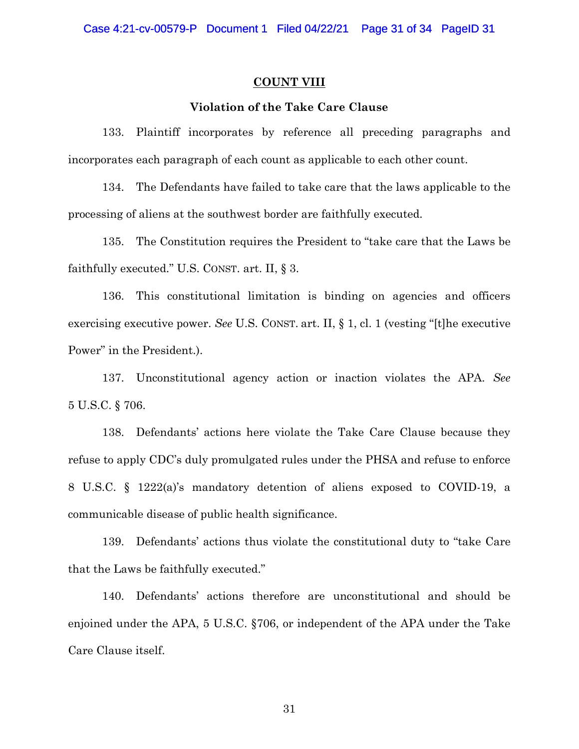# **COUNT VIII**

# **Violation of the Take Care Clause**

133. Plaintiff incorporates by reference all preceding paragraphs and incorporates each paragraph of each count as applicable to each other count.

134. The Defendants have failed to take care that the laws applicable to the processing of aliens at the southwest border are faithfully executed.

135. The Constitution requires the President to "take care that the Laws be faithfully executed." U.S. CONST. art. II, § 3.

136. This constitutional limitation is binding on agencies and officers exercising executive power. *See* U.S. CONST. art. II, § 1, cl. 1 (vesting "[t]he executive Power" in the President.).

137. Unconstitutional agency action or inaction violates the APA. *See*  5 U.S.C. § 706.

138. Defendants' actions here violate the Take Care Clause because they refuse to apply CDC's duly promulgated rules under the PHSA and refuse to enforce 8 U.S.C. § 1222(a)'s mandatory detention of aliens exposed to COVID-19, a communicable disease of public health significance.

139. Defendants' actions thus violate the constitutional duty to "take Care that the Laws be faithfully executed."

140. Defendants' actions therefore are unconstitutional and should be enjoined under the APA, 5 U.S.C. §706, or independent of the APA under the Take Care Clause itself.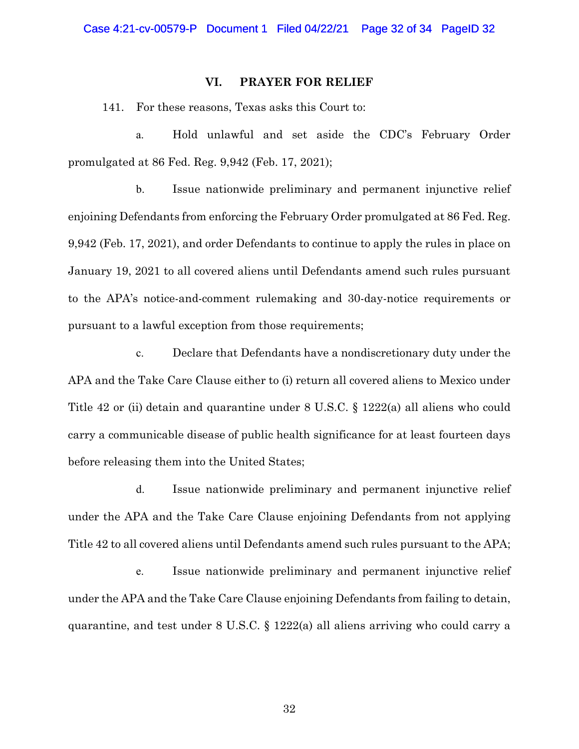# **VI. PRAYER FOR RELIEF**

141. For these reasons, Texas asks this Court to:

a. Hold unlawful and set aside the CDC's February Order promulgated at 86 Fed. Reg. 9,942 (Feb. 17, 2021);

b. Issue nationwide preliminary and permanent injunctive relief enjoining Defendants from enforcing the February Order promulgated at 86 Fed. Reg. 9,942 (Feb. 17, 2021), and order Defendants to continue to apply the rules in place on January 19, 2021 to all covered aliens until Defendants amend such rules pursuant to the APA's notice-and-comment rulemaking and 30-day-notice requirements or pursuant to a lawful exception from those requirements;

c. Declare that Defendants have a nondiscretionary duty under the APA and the Take Care Clause either to (i) return all covered aliens to Mexico under Title 42 or (ii) detain and quarantine under 8 U.S.C. § 1222(a) all aliens who could carry a communicable disease of public health significance for at least fourteen days before releasing them into the United States;

d. Issue nationwide preliminary and permanent injunctive relief under the APA and the Take Care Clause enjoining Defendants from not applying Title 42 to all covered aliens until Defendants amend such rules pursuant to the APA;

e. Issue nationwide preliminary and permanent injunctive relief under the APA and the Take Care Clause enjoining Defendants from failing to detain, quarantine, and test under 8 U.S.C. § 1222(a) all aliens arriving who could carry a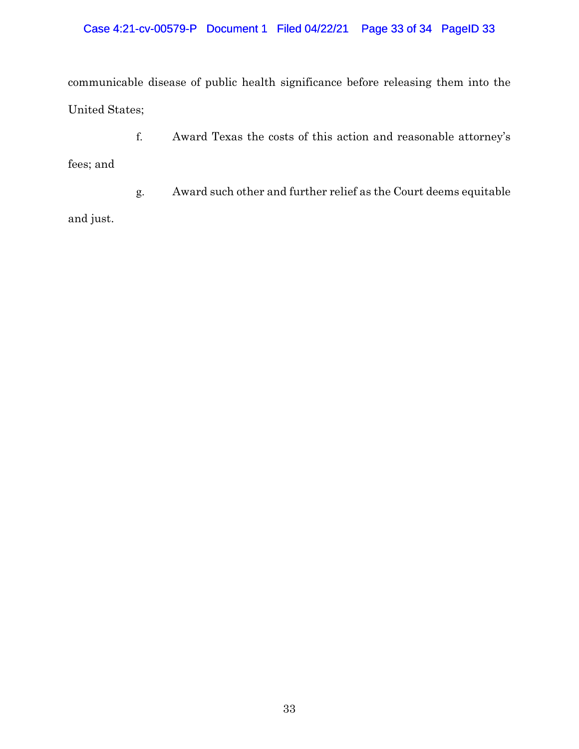communicable disease of public health significance before releasing them into the United States;

f. Award Texas the costs of this action and reasonable attorney's

fees; and

g. Award such other and further relief as the Court deems equitable

and just.